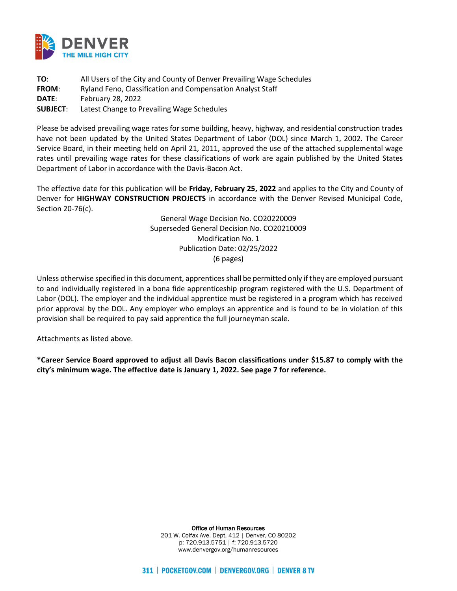

**TO**: All Users of the City and County of Denver Prevailing Wage Schedules **FROM**: Ryland Feno, Classification and Compensation Analyst Staff **DATE**: February 28, 2022 **SUBJECT**: Latest Change to Prevailing Wage Schedules

Please be advised prevailing wage rates for some building, heavy, highway, and residential construction trades have not been updated by the United States Department of Labor (DOL) since March 1, 2002. The Career Service Board, in their meeting held on April 21, 2011, approved the use of the attached supplemental wage rates until prevailing wage rates for these classifications of work are again published by the United States Department of Labor in accordance with the Davis-Bacon Act.

The effective date for this publication will be **Friday, February 25, 2022** and applies to the City and County of Denver for **HIGHWAY CONSTRUCTION PROJECTS** in accordance with the Denver Revised Municipal Code, Section 20-76(c).

> General Wage Decision No. CO20220009 Superseded General Decision No. CO20210009 Modification No. 1 Publication Date: 02/25/2022 (6 pages)

Unless otherwise specified in this document, apprentices shall be permitted only if they are employed pursuant to and individually registered in a bona fide apprenticeship program registered with the U.S. Department of Labor (DOL). The employer and the individual apprentice must be registered in a program which has received prior approval by the DOL. Any employer who employs an apprentice and is found to be in violation of this provision shall be required to pay said apprentice the full journeyman scale.

Attachments as listed above.

**\*Career Service Board approved to adjust all Davis Bacon classifications under \$15.87 to comply with the city's minimum wage. The effective date is January 1, 2022. See page 7 for reference.** 

> Office of Human Resources 201 W. Colfax Ave. Dept. 412 | Denver, CO 80202 p: 720.913.5751 | f: 720.913.5720 www.denvergov.org/humanresources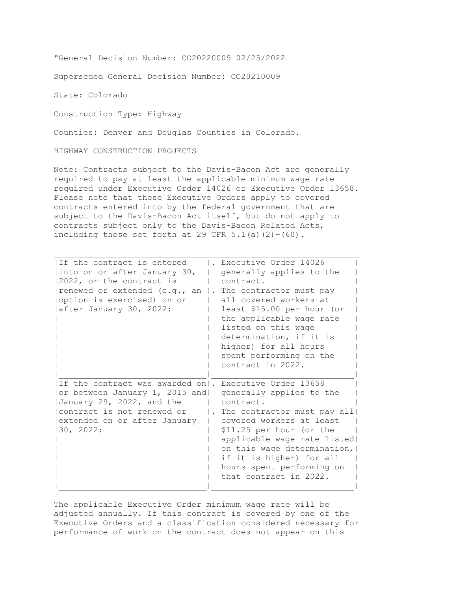"General Decision Number: CO20220009 02/25/2022

Superseded General Decision Number: CO20210009

State: Colorado

Construction Type: Highway

Counties: Denver and Douglas Counties in Colorado.

HIGHWAY CONSTRUCTION PROJECTS

Note: Contracts subject to the Davis-Bacon Act are generally required to pay at least the applicable minimum wage rate required under Executive Order 14026 or Executive Order 13658. Please note that these Executive Orders apply to covered contracts entered into by the federal government that are subject to the Davis-Bacon Act itself, but do not apply to contracts subject only to the Davis-Bacon Related Acts, including those set forth at 29 CFR  $5.1(a)(2)-(60)$ .

| If the contract is entered<br>into on or after January 30,<br>$ 2022$ , or the contract is<br>renewed or extended (e.g., an<br>option is exercised) on or<br>after January 30, 2022:                  | Executive Order 14026<br>generally applies to the<br>contract.<br>$\vert$ . The contractor must pay<br>all covered workers at<br>least \$15.00 per hour (or<br>the applicable wage rate<br>listed on this wage<br>determination, if it is<br>higher) for all hours<br>spent performing on the<br>contract in 2022. |
|-------------------------------------------------------------------------------------------------------------------------------------------------------------------------------------------------------|--------------------------------------------------------------------------------------------------------------------------------------------------------------------------------------------------------------------------------------------------------------------------------------------------------------------|
| If the contract was awarded on  . Executive Order 13658<br>or between January 1, 2015 and <br>January 29, 2022, and the<br>lcontract is not renewed or<br>extended on or after January <br>130, 2022: | generally applies to the<br>contract.<br>. The contractor must pay all<br>covered workers at least<br>\$11.25 per hour (or the<br>applicable wage rate listed<br>on this wage determination,<br>if it is higher) for all<br>hours spent performing on<br>that contract in 2022.                                    |

The applicable Executive Order minimum wage rate will be adjusted annually. If this contract is covered by one of the Executive Orders and a classification considered necessary for performance of work on the contract does not appear on this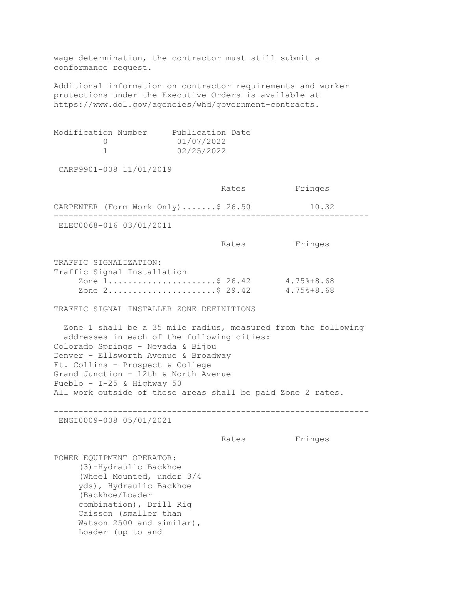wage determination, the contractor must still submit a conformance request. Additional information on contractor requirements and worker protections under the Executive Orders is available at https://www.dol.gov/agencies/whd/government-contracts. Modification Number Publication Date  $0$   $01/07/2022$ <br>1  $02/25/2022$ 02/25/2022 CARP9901-008 11/01/2019 Rates Fringes CARPENTER (Form Work Only).......\$ 26.50 10.32 ---------------------------------------------------------------- ELEC0068-016 03/01/2011 Rates Fringes TRAFFIC SIGNALIZATION: Traffic Signal Installation Zone 1...........................\$ 26.42 4.75%+8.68<br>Zone 2........................\$ 29.42 4.75%+8.68 Zone 2.......................\$ 29.42 TRAFFIC SIGNAL INSTALLER ZONE DEFINITIONS Zone 1 shall be a 35 mile radius, measured from the following addresses in each of the following cities: Colorado Springs - Nevada & Bijou Denver - Ellsworth Avenue & Broadway Ft. Collins - Prospect & College Grand Junction - 12th & North Avenue Pueblo - I-25 & Highway 50 All work outside of these areas shall be paid Zone 2 rates. ---------------------------------------------------------------- ENGI0009-008 05/01/2021 Rates Fringes POWER EQUIPMENT OPERATOR: (3)-Hydraulic Backhoe (Wheel Mounted, under 3/4 yds), Hydraulic Backhoe (Backhoe/Loader combination), Drill Rig Caisson (smaller than Watson 2500 and similar), Loader (up to and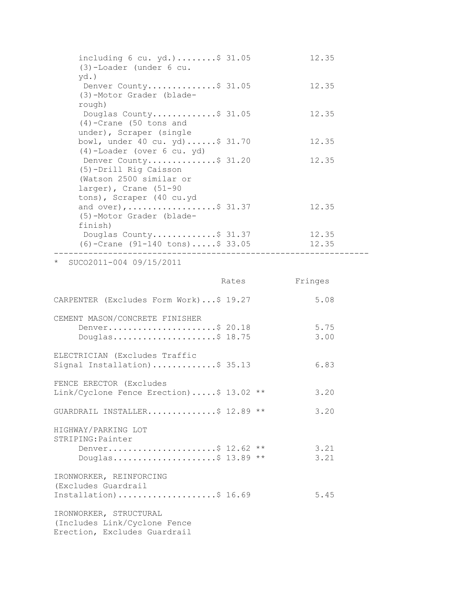| including $6 \text{ cu. yd.}$ \$ 31.05<br>$(3)$ -Loader (under 6 cu.                               |       | 12.35          |  |
|----------------------------------------------------------------------------------------------------|-------|----------------|--|
| $yd.$ )<br>Denver County\$ 31.05<br>(3)-Motor Grader (blade-                                       |       | 12.35          |  |
| rough)<br>Douglas County\$ 31.05<br>$(4)$ -Crane (50 tons and                                      |       | 12.35          |  |
| under), Scraper (single<br>bowl, under 40 cu. yd)\$ 31.70<br>(4)-Loader (over 6 cu. yd)            |       | 12.35          |  |
| Denver County\$ 31.20<br>(5)-Drill Rig Caisson<br>(Watson 2500 similar or<br>larger), Crane (51-90 |       | 12.35          |  |
| tons), Scraper (40 cu.yd<br>and over), \$ 31.37<br>(5)-Motor Grader (blade-<br>finish)             |       | 12.35          |  |
| Douglas County\$ 31.37<br>$(6)$ -Crane $(91-140$ tons)\$ 33.05<br>-------------------------        |       | 12.35<br>12.35 |  |
| SUC02011-004 09/15/2011<br>$^\star$                                                                |       |                |  |
|                                                                                                    | Rates | Fringes        |  |
| CARPENTER (Excludes Form Work)\$ 19.27                                                             |       | 5.08           |  |
| CEMENT MASON/CONCRETE FINISHER<br>Denver\$ 20.18<br>Douglas\$ $18.75$                              |       | 5.75<br>3.00   |  |
| ELECTRICIAN (Excludes Traffic<br>Signal Installation)\$ 35.13                                      |       | 6.83           |  |
| FENCE ERECTOR (Excludes<br>Link/Cyclone Fence Erection)\$ 13.02 **                                 |       | 3.20           |  |
| GUARDRAIL INSTALLER\$ 12.89 **                                                                     |       | 3.20           |  |
| HIGHWAY/PARKING LOT<br>STRIPING: Painter                                                           |       |                |  |
| Denver\$ 12.62 **                                                                                  |       | 3.21           |  |

IRONWORKER, REINFORCING (Excludes Guardrail Installation).....................\$ 16.69 5.45

Douglas.....................\$ 13.89 \*\* 3.21

IRONWORKER, STRUCTURAL (Includes Link/Cyclone Fence Erection, Excludes Guardrail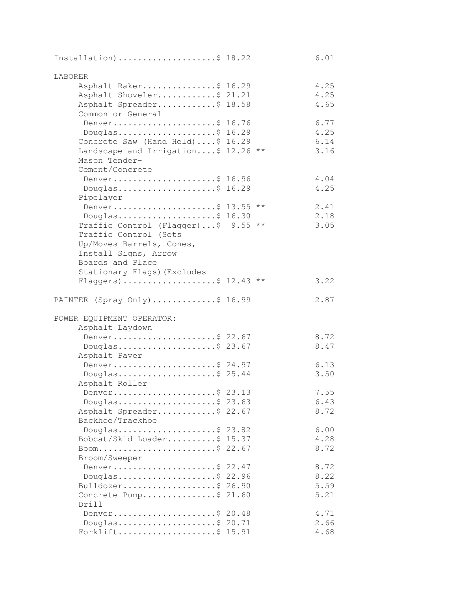| Installation) \$ 18.22              | 6.01         |
|-------------------------------------|--------------|
| LABORER                             |              |
| Asphalt Raker\$ 16.29               | 4.25         |
| Asphalt Shoveler\$ 21.21            | 4.25         |
| Asphalt Spreader\$ 18.58            | 4.65         |
| Common or General                   |              |
| Denver\$ 16.76                      | 6.77         |
| Douglas\$ 16.29                     | 4.25         |
| Concrete Saw (Hand Held)\$ 16.29    | 6.14         |
| Landscape and Irrigation\$ 12.26 ** | 3.16         |
| Mason Tender-                       |              |
| Cement/Concrete                     |              |
| Denver\$ 16.96                      | 4.04         |
| Douglas\$ $16.29$                   | 4.25         |
| Pipelayer<br>Denver\$ 13.55 **      | 2.41         |
| Douglas\$ 16.30                     | 2.18         |
| Traffic Control (Flagger)\$ 9.55 ** | 3.05         |
| Traffic Control (Sets               |              |
| Up/Moves Barrels, Cones,            |              |
| Install Signs, Arrow                |              |
| Boards and Place                    |              |
| Stationary Flags) (Excludes         |              |
| Flaggers)\$ 12.43 **                | 3.22         |
|                                     |              |
| PAINTER (Spray Only) \$ 16.99       | 2.87         |
| POWER EQUIPMENT OPERATOR:           |              |
| Asphalt Laydown                     |              |
| Denver\$ 22.67                      | 8.72         |
| Douglas\$ 23.67                     | 8.47         |
| Asphalt Paver                       |              |
| Denver\$ 24.97                      | 6.13         |
| Douglas\$ 25.44                     | 3.50         |
| Asphalt Roller                      |              |
| Denver\$ 23.13                      | 7.55         |
| Douglas\$ 23.63                     | 6.43         |
| Asphalt Spreader\$ 22.67            | 8.72         |
| Backhoe/Trackhoe                    |              |
| Douglas\$ 23.82                     | 6.00         |
| Bobcat/Skid Loader\$ 15.37          | 4.28<br>8.72 |
| Boom\$ 22.67<br>Broom/Sweeper       |              |
| Denver\$ 22.47                      | 8.72         |
| Douglas\$ 22.96                     | 8.22         |
| Bulldozer\$ 26.90                   | 5.59         |
| Concrete Pump\$ 21.60               | 5.21         |
| Drill                               |              |
| Denver\$ 20.48                      | 4.71         |
| Douglas\$ 20.71                     | 2.66         |
| Forklift\$ 15.91                    | 4.68         |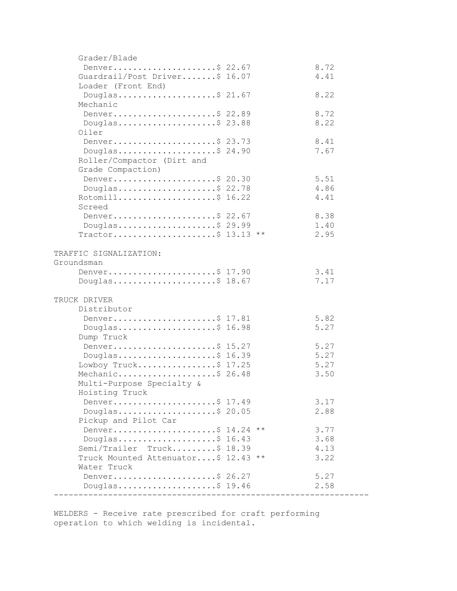| Grader/Blade                        |      |
|-------------------------------------|------|
| Denver\$ 22.67                      | 8.72 |
| Guardrail/Post Driver\$ 16.07       | 4.41 |
| Loader (Front End)                  |      |
| Douglas\$ 21.67                     | 8.22 |
| Mechanic                            |      |
|                                     |      |
| Denver\$ 22.89                      | 8.72 |
| Douglas\$ 23.88                     | 8.22 |
| Oiler                               |      |
| Denver\$ 23.73                      | 8.41 |
| Douglas\$ 24.90                     | 7.67 |
| Roller/Compactor (Dirt and          |      |
| Grade Compaction)                   |      |
| Denver\$ 20.30                      | 5.51 |
| Douglas\$ 22.78                     | 4.86 |
| Rotomill\$ 16.22                    | 4.41 |
| Screed                              |      |
|                                     |      |
| Denver\$ 22.67                      | 8.38 |
| Douglas\$ 29.99                     | 1.40 |
| Tractor\$ 13.13 **                  | 2.95 |
|                                     |      |
| TRAFFIC SIGNALIZATION:              |      |
| Groundsman                          |      |
| Denver\$ 17.90                      | 3.41 |
| Douglas\$ 18.67                     | 7.17 |
|                                     |      |
| TRUCK DRIVER                        |      |
| Distributor                         |      |
| Denver\$ 17.81                      | 5.82 |
| Douglas\$ 16.98                     | 5.27 |
| Dump Truck                          |      |
| Denver\$ 15.27                      | 5.27 |
| Douglas\$ 16.39                     | 5.27 |
| Lowboy Truck\$ 17.25                | 5.27 |
|                                     |      |
| Mechanic\$ 26.48                    | 3.50 |
| Multi-Purpose Specialty &           |      |
| Hoisting Truck                      |      |
| Denver\$ 17.49                      | 3.17 |
| Douglas\$ 20.05                     | 2.88 |
| Pickup and Pilot Car                |      |
| Denver\$ 14.24 **                   | 3.77 |
| Douglas\$ 16.43                     | 3.68 |
| Semi/Trailer Truck\$ 18.39          | 4.13 |
| Truck Mounted Attenuator\$ 12.43 ** | 3.22 |
| Water Truck                         |      |
| Denver\$ 26.27                      | 5.27 |
| Douglas\$ 19.46                     | 2.58 |
|                                     |      |
|                                     |      |

WELDERS - Receive rate prescribed for craft performing operation to which welding is incidental.